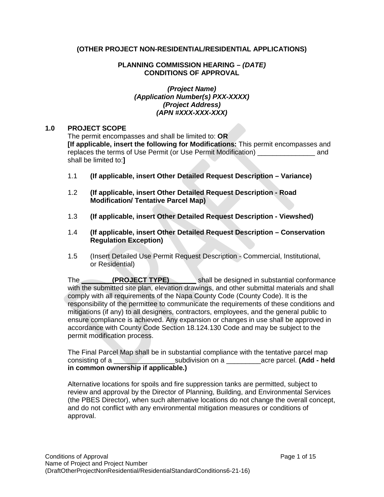# **(OTHER PROJECT NON-RESIDENTIAL/RESIDENTIAL APPLICATIONS)**

#### **PLANNING COMMISSION HEARING –** *(DATE)* **CONDITIONS OF APPROVAL**

#### *(Project Name) (Application Number(s) PXX-XXXX) (Project Address) (APN #XXX-XXX-XXX)*

#### **1.0 PROJECT SCOPE**

The permit encompasses and shall be limited to: **OR [If applicable, insert the following for Modifications:** This permit encompasses and replaces the terms of Use Permit (or Use Permit Modification) and shall be limited to:**]**

- 1.1 **(If applicable, insert Other Detailed Request Description – Variance)**
- 1.2 **(If applicable, insert Other Detailed Request Description - Road Modification/ Tentative Parcel Map)**
- 1.3 **(If applicable, insert Other Detailed Request Description - Viewshed)**
- 1.4 **(If applicable, insert Other Detailed Request Description – Conservation Regulation Exception)**
- 1.5 (Insert Detailed Use Permit Request Description Commercial, Institutional, or Residential)

The **COLOGECT TYPE)** shall be designed in substantial conformance with the submitted site plan, elevation drawings, and other submittal materials and shall comply with all requirements of the Napa County Code (County Code). It is the responsibility of the permittee to communicate the requirements of these conditions and mitigations (if any) to all designers, contractors, employees, and the general public to ensure compliance is achieved. Any expansion or changes in use shall be approved in accordance with County Code Section 18.124.130 Code and may be subject to the permit modification process.

The Final Parcel Map shall be in substantial compliance with the tentative parcel map consisting of a \_\_\_\_\_\_\_\_\_\_\_\_\_\_\_\_subdivision on a \_\_\_\_\_\_\_\_\_acre parcel. **(Add - held in common ownership if applicable.)**

Alternative locations for spoils and fire suppression tanks are permitted, subject to review and approval by the Director of Planning, Building, and Environmental Services (the PBES Director), when such alternative locations do not change the overall concept, and do not conflict with any environmental mitigation measures or conditions of approval.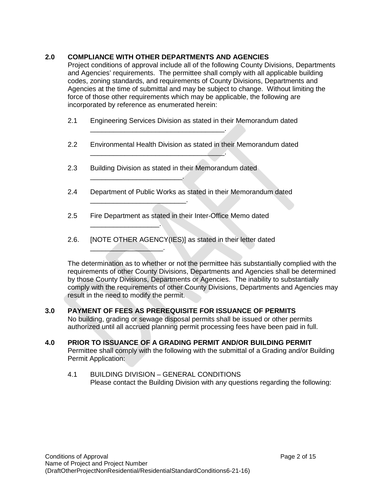# **2.0 COMPLIANCE WITH OTHER DEPARTMENTS AND AGENCIES**

Project conditions of approval include all of the following County Divisions, Departments and Agencies' requirements. The permittee shall comply with all applicable building codes, zoning standards, and requirements of County Divisions, Departments and Agencies at the time of submittal and may be subject to change. Without limiting the force of those other requirements which may be applicable, the following are incorporated by reference as enumerated herein:

- 2.1 Engineering Services Division as stated in their Memorandum dated
- 2.2 Environmental Health Division as stated in their Memorandum dated
- 2.3 Building Division as stated in their Memorandum dated

\_\_\_\_\_\_\_\_\_\_\_\_\_\_\_\_\_\_\_\_\_\_\_\_\_\_\_\_\_\_\_\_\_\_\_.

\_\_\_\_\_\_\_\_\_\_\_\_\_\_\_\_\_\_\_\_\_\_\_\_\_\_\_\_\_\_\_\_\_\_\_.

\_\_\_\_\_\_\_\_\_\_\_\_\_\_\_\_\_\_\_\_\_\_\_\_.

\_\_\_\_\_\_\_\_\_\_\_\_\_\_\_\_\_\_\_\_\_\_\_\_\_.

 $\overline{\phantom{a}}$  , and the set of the set of the set of the set of the set of the set of the set of the set of the set of the set of the set of the set of the set of the set of the set of the set of the set of the set of the s

 $\overline{\phantom{a}}$  , where  $\overline{\phantom{a}}$ 

- 2.4 Department of Public Works as stated in their Memorandum dated
- 2.5 Fire Department as stated in their Inter-Office Memo dated
- 2.6. [NOTE OTHER AGENCY(IES)] as stated in their letter dated

The determination as to whether or not the permittee has substantially complied with the requirements of other County Divisions, Departments and Agencies shall be determined by those County Divisions, Departments or Agencies. The inability to substantially comply with the requirements of other County Divisions, Departments and Agencies may result in the need to modify the permit.

- **3.0 PAYMENT OF FEES AS PREREQUISITE FOR ISSUANCE OF PERMITS** No building, grading or sewage disposal permits shall be issued or other permits authorized until all accrued planning permit processing fees have been paid in full.
- **4.0 PRIOR TO ISSUANCE OF A GRADING PERMIT AND/OR BUILDING PERMIT** Permittee shall comply with the following with the submittal of a Grading and/or Building Permit Application:
	- 4.1 BUILDING DIVISION GENERAL CONDITIONS Please contact the Building Division with any questions regarding the following: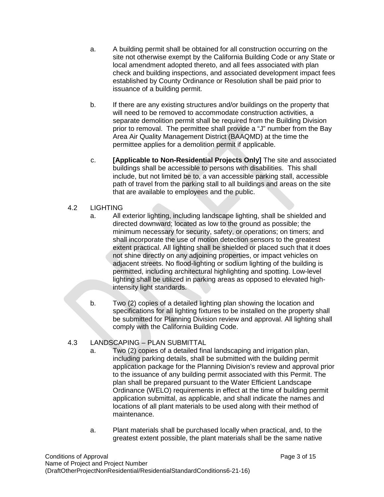- a. A building permit shall be obtained for all construction occurring on the site not otherwise exempt by the California Building Code or any State or local amendment adopted thereto, and all fees associated with plan check and building inspections, and associated development impact fees established by County Ordinance or Resolution shall be paid prior to issuance of a building permit.
- b. If there are any existing structures and/or buildings on the property that will need to be removed to accommodate construction activities, a separate demolition permit shall be required from the Building Division prior to removal. The permittee shall provide a "J" number from the Bay Area Air Quality Management District (BAAQMD) at the time the permittee applies for a demolition permit if applicable.
- c. **[Applicable to Non-Residential Projects Only]** The site and associated buildings shall be accessible to persons with disabilities. This shall include, but not limited be to, a van accessible parking stall, accessible path of travel from the parking stall to all buildings and areas on the site that are available to employees and the public.

# 4.2 LIGHTING

- a. All exterior lighting, including landscape lighting, shall be shielded and directed downward; located as low to the ground as possible; the minimum necessary for security, safety, or operations; on timers; and shall incorporate the use of motion detection sensors to the greatest extent practical. All lighting shall be shielded or placed such that it does not shine directly on any adjoining properties, or impact vehicles on adjacent streets. No flood-lighting or sodium lighting of the building is permitted, including architectural highlighting and spotting. Low-level lighting shall be utilized in parking areas as opposed to elevated highintensity light standards.
- b. Two (2) copies of a detailed lighting plan showing the location and specifications for all lighting fixtures to be installed on the property shall be submitted for Planning Division review and approval. All lighting shall comply with the California Building Code.

# 4.3 LANDSCAPING – PLAN SUBMITTAL

- a. Two (2) copies of a detailed final landscaping and irrigation plan, including parking details, shall be submitted with the building permit application package for the Planning Division's review and approval prior to the issuance of any building permit associated with this Permit. The plan shall be prepared pursuant to the Water Efficient Landscape Ordinance (WELO) requirements in effect at the time of building permit application submittal, as applicable, and shall indicate the names and locations of all plant materials to be used along with their method of maintenance.
- a. Plant materials shall be purchased locally when practical, and, to the greatest extent possible, the plant materials shall be the same native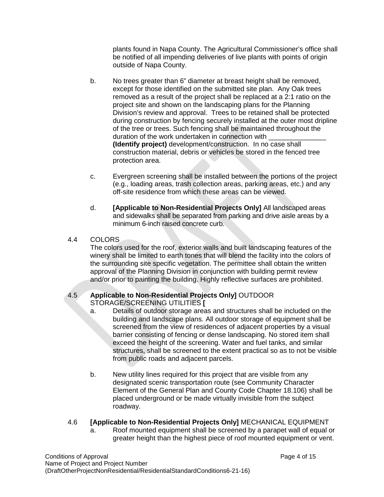plants found in Napa County. The Agricultural Commissioner's office shall be notified of all impending deliveries of live plants with points of origin outside of Napa County.

- b. No trees greater than 6" diameter at breast height shall be removed, except for those identified on the submitted site plan. Any Oak trees removed as a result of the project shall be replaced at a 2:1 ratio on the project site and shown on the landscaping plans for the Planning Division's review and approval. Trees to be retained shall be protected during construction by fencing securely installed at the outer most dripline of the tree or trees. Such fencing shall be maintained throughout the duration of the work undertaken in connection with **(Identify project)** development/construction. In no case shall construction material, debris or vehicles be stored in the fenced tree protection area.
- c. Evergreen screening shall be installed between the portions of the project (e.g., loading areas, trash collection areas, parking areas, etc.) and any off-site residence from which these areas can be viewed.
- d. **[Applicable to Non-Residential Projects Only]** All landscaped areas and sidewalks shall be separated from parking and drive aisle areas by a minimum 6-inch raised concrete curb.

# 4.4 COLORS

The colors used for the roof, exterior walls and built landscaping features of the winery shall be limited to earth tones that will blend the facility into the colors of the surrounding site specific vegetation. The permittee shall obtain the written approval of the Planning Division in conjunction with building permit review and/or prior to painting the building. Highly reflective surfaces are prohibited.

# 4.5 **Applicable to Non-Residential Projects Only]** OUTDOOR STORAGE/SCREENING UTILITIES **[**

- a. Details of outdoor storage areas and structures shall be included on the building and landscape plans. All outdoor storage of equipment shall be screened from the view of residences of adjacent properties by a visual barrier consisting of fencing or dense landscaping. No stored item shall exceed the height of the screening. Water and fuel tanks, and similar structures, shall be screened to the extent practical so as to not be visible from public roads and adjacent parcels.
- b. New utility lines required for this project that are visible from any designated scenic transportation route (see Community Character Element of the General Plan and County Code Chapter 18.106) shall be placed underground or be made virtually invisible from the subject roadway.

# 4.6 **[Applicable to Non-Residential Projects Only]** MECHANICAL EQUIPMENT

a. Roof mounted equipment shall be screened by a parapet wall of equal or greater height than the highest piece of roof mounted equipment or vent.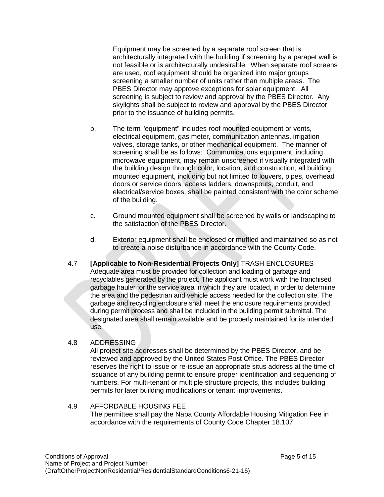Equipment may be screened by a separate roof screen that is architecturally integrated with the building if screening by a parapet wall is not feasible or is architecturally undesirable. When separate roof screens are used, roof equipment should be organized into major groups screening a smaller number of units rather than multiple areas. The PBES Director may approve exceptions for solar equipment. All screening is subject to review and approval by the PBES Director. Any skylights shall be subject to review and approval by the PBES Director prior to the issuance of building permits.

- b. The term "equipment" includes roof mounted equipment or vents, electrical equipment, gas meter, communication antennas, irrigation valves, storage tanks, or other mechanical equipment. The manner of screening shall be as follows: Communications equipment, including microwave equipment, may remain unscreened if visually integrated with the building design through color, location, and construction; all building mounted equipment, including but not limited to louvers, pipes, overhead doors or service doors, access ladders, downspouts, conduit, and electrical/service boxes, shall be painted consistent with the color scheme of the building.
- c. Ground mounted equipment shall be screened by walls or landscaping to the satisfaction of the PBES Director.
- d. Exterior equipment shall be enclosed or muffled and maintained so as not to create a noise disturbance in accordance with the County Code.
- 4.7 **[Applicable to Non-Residential Projects Only]** TRASH ENCLOSURES Adequate area must be provided for collection and loading of garbage and recyclables generated by the project. The applicant must work with the franchised garbage hauler for the service area in which they are located, in order to determine the area and the pedestrian and vehicle access needed for the collection site. The garbage and recycling enclosure shall meet the enclosure requirements provided during permit process and shall be included in the building permit submittal. The designated area shall remain available and be properly maintained for its intended use.

#### 4.8 ADDRESSING

All project site addresses shall be determined by the PBES Director, and be reviewed and approved by the United States Post Office. The PBES Director reserves the right to issue or re-issue an appropriate situs address at the time of issuance of any building permit to ensure proper identification and sequencing of numbers. For multi-tenant or multiple structure projects, this includes building permits for later building modifications or tenant improvements.

#### 4.9 AFFORDABLE HOUSING FEE The permittee shall pay the Napa County Affordable Housing Mitigation Fee in accordance with the requirements of County Code Chapter 18.107.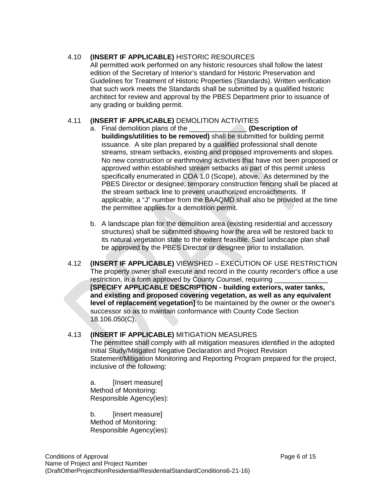# 4.10 **(INSERT IF APPLICABLE)** HISTORIC RESOURCES

All permitted work performed on any historic resources shall follow the latest edition of the Secretary of Interior's standard for Historic Preservation and Guidelines for Treatment of Historic Properties (Standards). Written verification that such work meets the Standards shall be submitted by a qualified historic architect for review and approval by the PBES Department prior to issuance of any grading or building permit.

# 4.11 **(INSERT IF APPLICABLE)** DEMOLITION ACTIVITIES

- a. Final demolition plans of the \_\_\_\_\_\_\_\_\_\_\_\_\_\_\_ **(Description of buildings/utilities to be removed)** shall be submitted for building permit issuance. A site plan prepared by a qualified professional shall denote streams, stream setbacks, existing and proposed improvements and slopes. No new construction or earthmoving activities that have not been proposed or approved within established stream setbacks as part of this permit unless specifically enumerated in COA 1.0 (Scope), above. As determined by the PBES Director or designee, temporary construction fencing shall be placed at the stream setback line to prevent unauthorized encroachments. If applicable, a "J" number from the BAAQMD shall also be provided at the time the permittee applies for a demolition permit.
- b. A landscape plan for the demolition area (existing residential and accessory structures) shall be submitted showing how the area will be restored back to its natural vegetation state to the extent feasible. Said landscape plan shall be approved by the PBES Director or designee prior to installation.
- 4.12 **(INSERT IF APPLICABLE)** VIEWSHED EXECUTION OF USE RESTRICTION The property owner shall execute and record in the county recorder's office a use restriction, in a form approved by County Counsel, requiring **[SPECIFY APPLICABLE DESCRIPTION - building exteriors, water tanks, and existing and proposed covering vegetation, as well as any equivalent level of replacement vegetation]** to be maintained by the owner or the owner's successor so as to maintain conformance with County Code Section 18.106.050(C).

#### 4.13 **(INSERT IF APPLICABLE)** MITIGATION MEASURES

The permittee shall comply with all mitigation measures identified in the adopted Initial Study/Mitigated Negative Declaration and Project Revision Statement/Mitigation Monitoring and Reporting Program prepared for the project, inclusive of the following:

a. [Insert measure] Method of Monitoring: Responsible Agency(ies):

b. [insert measure] Method of Monitoring: Responsible Agency(ies):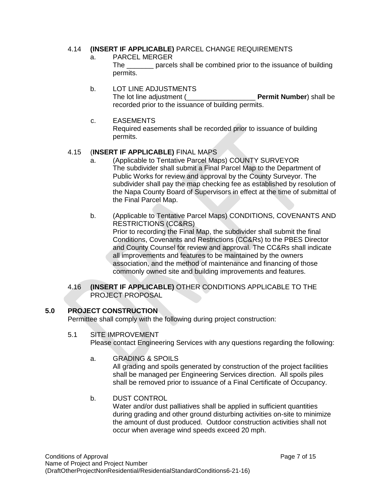# 4.14 **(INSERT IF APPLICABLE)** PARCEL CHANGE REQUIREMENTS

- a. PARCEL MERGER The \_\_\_\_\_\_\_ parcels shall be combined prior to the issuance of building permits.
- b. LOT LINE ADJUSTMENTS The lot line adjustment (\_\_\_\_\_\_\_\_\_\_\_\_\_\_\_\_\_\_ **Permit Number**) shall be recorded prior to the issuance of building permits.
- c. EASEMENTS Required easements shall be recorded prior to issuance of building permits.

# 4.15 (**INSERT IF APPLICABLE)** FINAL MAPS

- a. (Applicable to Tentative Parcel Maps) COUNTY SURVEYOR The subdivider shall submit a Final Parcel Map to the Department of Public Works for review and approval by the County Surveyor. The subdivider shall pay the map checking fee as established by resolution of the Napa County Board of Supervisors in effect at the time of submittal of the Final Parcel Map.
- b. (Applicable to Tentative Parcel Maps) CONDITIONS, COVENANTS AND RESTRICTIONS (CC&RS) Prior to recording the Final Map, the subdivider shall submit the final Conditions, Covenants and Restrictions (CC&Rs) to the PBES Director and County Counsel for review and approval. The CC&Rs shall indicate all improvements and features to be maintained by the owners association, and the method of maintenance and financing of those commonly owned site and building improvements and features.

#### 4.16 **(INSERT IF APPLICABLE)** OTHER CONDITIONS APPLICABLE TO THE PROJECT PROPOSAL

# **5.0 PROJECT CONSTRUCTION**

Permittee shall comply with the following during project construction:

5.1 SITE IMPROVEMENT

Please contact Engineering Services with any questions regarding the following:

a. GRADING & SPOILS

All grading and spoils generated by construction of the project facilities shall be managed per Engineering Services direction. All spoils piles shall be removed prior to issuance of a Final Certificate of Occupancy.

b. DUST CONTROL

Water and/or dust palliatives shall be applied in sufficient quantities during grading and other ground disturbing activities on-site to minimize the amount of dust produced. Outdoor construction activities shall not occur when average wind speeds exceed 20 mph.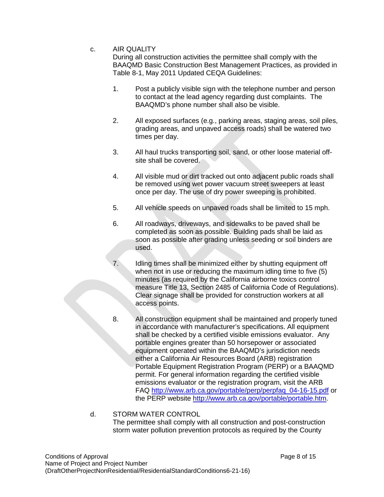#### c. AIR QUALITY

During all construction activities the permittee shall comply with the BAAQMD Basic Construction Best Management Practices, as provided in Table 8-1, May 2011 Updated CEQA Guidelines:

- 1. Post a publicly visible sign with the telephone number and person to contact at the lead agency regarding dust complaints. The BAAQMD's phone number shall also be visible.
- 2. All exposed surfaces (e.g., parking areas, staging areas, soil piles, grading areas, and unpaved access roads) shall be watered two times per day.
- 3. All haul trucks transporting soil, sand, or other loose material offsite shall be covered.
- 4. All visible mud or dirt tracked out onto adjacent public roads shall be removed using wet power vacuum street sweepers at least once per day. The use of dry power sweeping is prohibited.
- 5. All vehicle speeds on unpaved roads shall be limited to 15 mph.
- 6. All roadways, driveways, and sidewalks to be paved shall be completed as soon as possible. Building pads shall be laid as soon as possible after grading unless seeding or soil binders are used.
- 7. Idling times shall be minimized either by shutting equipment off when not in use or reducing the maximum idling time to five (5) minutes (as required by the California airborne toxics control measure Title 13, Section 2485 of California Code of Regulations). Clear signage shall be provided for construction workers at all access points.
- 8. All construction equipment shall be maintained and properly tuned in accordance with manufacturer's specifications. All equipment shall be checked by a certified visible emissions evaluator. Any portable engines greater than 50 horsepower or associated equipment operated within the BAAQMD's jurisdiction needs either a California Air Resources Board (ARB) registration Portable Equipment Registration Program (PERP) or a BAAQMD permit. For general information regarding the certified visible emissions evaluator or the registration program, visit the ARB FAQ [http://www.arb.ca.gov/portable/perp/perpfaq\\_04-16-15.pdf](http://www.arb.ca.gov/portable/perp/perpfaq_04-16-15.pdf) or the PERP website [http://www.arb.ca.gov/portable/portable.htm.](http://www.arb.ca.gov/portable/portable.htm)

#### d. STORM WATER CONTROL The permittee shall comply with all construction and post-construction storm water pollution prevention protocols as required by the County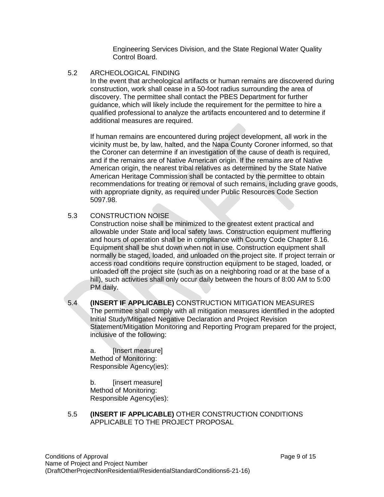Engineering Services Division, and the State Regional Water Quality Control Board.

5.2 ARCHEOLOGICAL FINDING

In the event that archeological artifacts or human remains are discovered during construction, work shall cease in a 50-foot radius surrounding the area of discovery. The permittee shall contact the PBES Department for further guidance, which will likely include the requirement for the permittee to hire a qualified professional to analyze the artifacts encountered and to determine if additional measures are required.

If human remains are encountered during project development, all work in the vicinity must be, by law, halted, and the Napa County Coroner informed, so that the Coroner can determine if an investigation of the cause of death is required, and if the remains are of Native American origin. If the remains are of Native American origin, the nearest tribal relatives as determined by the State Native American Heritage Commission shall be contacted by the permittee to obtain recommendations for treating or removal of such remains, including grave goods, with appropriate dignity, as required under Public Resources Code Section 5097.98.

5.3 CONSTRUCTION NOISE

Construction noise shall be minimized to the greatest extent practical and allowable under State and local safety laws. Construction equipment mufflering and hours of operation shall be in compliance with County Code Chapter 8.16. Equipment shall be shut down when not in use. Construction equipment shall normally be staged, loaded, and unloaded on the project site. If project terrain or access road conditions require construction equipment to be staged, loaded, or unloaded off the project site (such as on a neighboring road or at the base of a hill), such activities shall only occur daily between the hours of 8:00 AM to 5:00 PM daily.

5.4 **(INSERT IF APPLICABLE)** CONSTRUCTION MITIGATION MEASURES The permittee shall comply with all mitigation measures identified in the adopted Initial Study/Mitigated Negative Declaration and Project Revision Statement/Mitigation Monitoring and Reporting Program prepared for the project, inclusive of the following:

a. [Insert measure] Method of Monitoring: Responsible Agency(ies):

b. [insert measure] Method of Monitoring: Responsible Agency(ies):

5.5 **(INSERT IF APPLICABLE)** OTHER CONSTRUCTION CONDITIONS APPLICABLE TO THE PROJECT PROPOSAL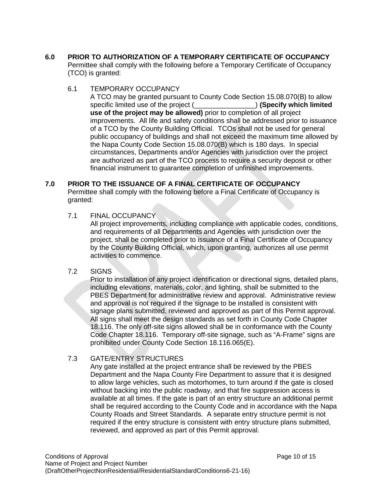- **6.0 PRIOR TO AUTHORIZATION OF A TEMPORARY CERTIFICATE OF OCCUPANCY** Permittee shall comply with the following before a Temporary Certificate of Occupancy (TCO) is granted:
	- 6.1 TEMPORARY OCCUPANCY

A TCO may be granted pursuant to County Code Section 15.08.070(B) to allow specific limited use of the project (\_\_\_\_\_\_\_\_\_\_\_\_\_\_\_\_) **(Specify which limited use of the project may be allowed)** prior to completion of all project improvements. All life and safety conditions shall be addressed prior to issuance of a TCO by the County Building Official. TCOs shall not be used for general public occupancy of buildings and shall not exceed the maximum time allowed by the Napa County Code Section 15.08.070(B) which is 180 days. In special circumstances, Departments and/or Agencies with jurisdiction over the project are authorized as part of the TCO process to require a security deposit or other financial instrument to guarantee completion of unfinished improvements.

# **7.0 PRIOR TO THE ISSUANCE OF A FINAL CERTIFICATE OF OCCUPANCY**

Permittee shall comply with the following before a Final Certificate of Occupancy is granted:

7.1 FINAL OCCUPANCY

All project improvements, including compliance with applicable codes, conditions, and requirements of all Departments and Agencies with jurisdiction over the project, shall be completed prior to issuance of a Final Certificate of Occupancy by the County Building Official, which, upon granting, authorizes all use permit activities to commence.

#### 7.2 SIGNS

Prior to installation of any project identification or directional signs, detailed plans, including elevations, materials, color, and lighting, shall be submitted to the PBES Department for administrative review and approval. Administrative review and approval is not required if the signage to be installed is consistent with signage plans submitted, reviewed and approved as part of this Permit approval. All signs shall meet the design standards as set forth in County Code Chapter 18.116. The only off-site signs allowed shall be in conformance with the County Code Chapter 18.116. Temporary off-site signage, such as "A-Frame" signs are prohibited under County Code Section 18.116.065(E).

# 7.3 GATE/ENTRY STRUCTURES

Any gate installed at the project entrance shall be reviewed by the PBES Department and the Napa County Fire Department to assure that it is designed to allow large vehicles, such as motorhomes, to turn around if the gate is closed without backing into the public roadway, and that fire suppression access is available at all times. If the gate is part of an entry structure an additional permit shall be required according to the County Code and in accordance with the Napa County Roads and Street Standards. A separate entry structure permit is not required if the entry structure is consistent with entry structure plans submitted, reviewed, and approved as part of this Permit approval.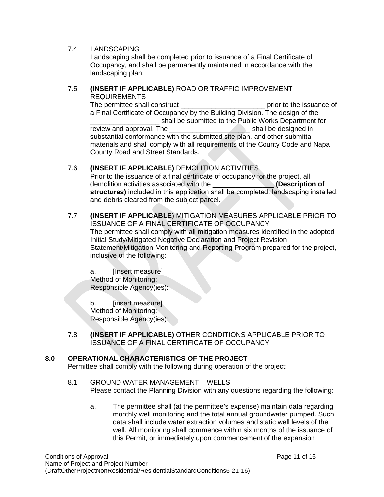# 7.4 LANDSCAPING

Landscaping shall be completed prior to issuance of a Final Certificate of Occupancy, and shall be permanently maintained in accordance with the landscaping plan.

#### 7.5 **(INSERT IF APPLICABLE)** ROAD OR TRAFFIC IMPROVEMENT REQUIREMENTS

The permittee shall construct **EXECUTE:** The permittee shall construct **EXECUTE:** prior to the issuance of a Final Certificate of Occupancy by the Building Division. The design of the shall be submitted to the Public Works Department for<br>he shall be designed in review and approval. The substantial conformance with the submitted site plan, and other submittal materials and shall comply with all requirements of the County Code and Napa County Road and Street Standards.

# 7.6 **(INSERT IF APPLICABLE)** DEMOLITION ACTIVITIES

Prior to the issuance of a final certificate of occupancy for the project, all demolition activities associated with the \_\_\_\_\_\_\_\_\_\_\_\_\_\_\_\_ **(Description of structures)** included in this application shall be completed, landscaping installed, and debris cleared from the subject parcel.

#### 7.7 **(INSERT IF APPLICABLE**) MITIGATION MEASURES APPLICABLE PRIOR TO ISSUANCE OF A FINAL CERTIFICATE OF OCCUPANCY The permittee shall comply with all mitigation measures identified in the adopted Initial Study/Mitigated Negative Declaration and Project Revision Statement/Mitigation Monitoring and Reporting Program prepared for the project, inclusive of the following:

a. [Insert measure] Method of Monitoring: Responsible Agency(ies):

b. [insert measure] Method of Monitoring: Responsible Agency(ies):

7.8 **(INSERT IF APPLICABLE)** OTHER CONDITIONS APPLICABLE PRIOR TO ISSUANCE OF A FINAL CERTIFICATE OF OCCUPANCY

# **8.0 OPERATIONAL CHARACTERISTICS OF THE PROJECT**

Permittee shall comply with the following during operation of the project:

- 8.1 GROUND WATER MANAGEMENT WELLS Please contact the Planning Division with any questions regarding the following:
	- a. The permittee shall (at the permittee's expense) maintain data regarding monthly well monitoring and the total annual groundwater pumped. Such data shall include water extraction volumes and static well levels of the well. All monitoring shall commence within six months of the issuance of this Permit, or immediately upon commencement of the expansion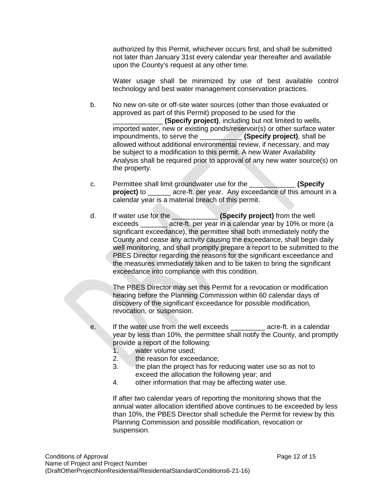authorized by this Permit, whichever occurs first, and shall be submitted not later than January 31st every calendar year thereafter and available upon the County's request at any other time.

Water usage shall be minimized by use of best available control technology and best water management conservation practices.

b. No new on-site or off-site water sources (other than those evaluated or approved as part of this Permit) proposed to be used for the \_\_\_\_\_\_\_\_\_\_\_\_\_ **(Specify project)**, including but not limited to wells, imported water, new or existing ponds/reservoir(s) or other surface water impoundments, to serve the \_\_\_\_\_\_\_\_\_\_\_ **(Specify project)**, shall be allowed without additional environmental review, if necessary, and may be subject to a modification to this permit. A new Water Availability Analysis shall be required prior to approval of any new water source(s) on the property.

- c. Permittee shall limit groundwater use for the \_\_\_\_\_\_\_\_\_\_\_\_ **(Specify project)** to **acre-ft.** per year. Any exceedance of this amount in a calendar year is a material breach of this permit.
- d. If water use for the \_\_\_\_\_\_\_\_\_\_\_\_ **(Specify project)** from the well exceeds exceeds acre-ft. per year in a calendar year by 10% or more (a significant exceedance), the permittee shall both immediately notify the County and cease any activity causing the exceedance, shall begin daily well monitoring, and shall promptly prepare a report to be submitted to the PBES Director regarding the reasons for the significant exceedance and the measures immediately taken and to be taken to bring the significant exceedance into compliance with this condition.

The PBES Director may set this Permit for a revocation or modification hearing before the Planning Commission within 60 calendar days of discovery of the significant exceedance for possible modification, revocation, or suspension.

- e. If the water use from the well exceeds \_\_\_\_\_\_\_\_\_ acre-ft. in a calendar year by less than 10%, the permittee shall notify the County, and promptly provide a report of the following:<br>1. water volume used:
	- water volume used:
	- 2. the reason for exceedance;
	- 3. the plan the project has for reducing water use so as not to exceed the allocation the following year; and
	- 4. other information that may be affecting water use.

If after two calendar years of reporting the monitoring shows that the annual water allocation identified above continues to be exceeded by less than 10%, the PBES Director shall schedule the Permit for review by this Planning Commission and possible modification, revocation or suspension.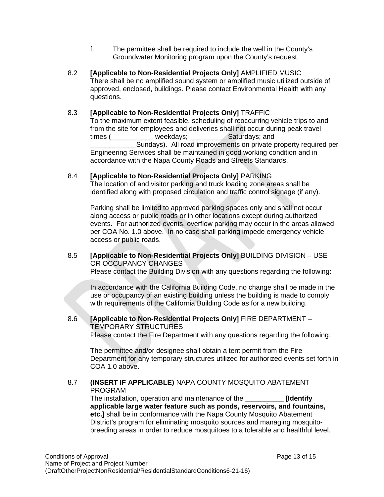- f. The permittee shall be required to include the well in the County's Groundwater Monitoring program upon the County's request.
- 8.2 **[Applicable to Non-Residential Projects Only]** AMPLIFIED MUSIC There shall be no amplified sound system or amplified music utilized outside of approved, enclosed, buildings. Please contact Environmental Health with any questions.

# 8.3 **[Applicable to Non-Residential Projects Only]** TRAFFIC

To the maximum extent feasible, scheduling of reoccurring vehicle trips to and from the site for employees and deliveries shall not occur during peak travel times (\_\_\_\_\_\_\_\_\_\_\_ weekdays; \_\_\_\_\_\_\_\_\_\_Saturdays; and Sundays). All road improvements on private property required per Engineering Services shall be maintained in good working condition and in accordance with the Napa County Roads and Streets Standards.

8.4 **[Applicable to Non-Residential Projects Only]** PARKING

The location of and visitor parking and truck loading zone areas shall be identified along with proposed circulation and traffic control signage (if any).

Parking shall be limited to approved parking spaces only and shall not occur along access or public roads or in other locations except during authorized events. For authorized events, overflow parking may occur in the areas allowed per COA No. 1.0 above. In no case shall parking impede emergency vehicle access or public roads.

# 8.5 **[Applicable to Non-Residential Projects Only]** BUILDING DIVISION – USE OR OCCUPANCY CHANGES

Please contact the Building Division with any questions regarding the following:

In accordance with the California Building Code, no change shall be made in the use or occupancy of an existing building unless the building is made to comply with requirements of the California Building Code as for a new building.

#### 8.6 **[Applicable to Non-Residential Projects Only]** FIRE DEPARTMENT – TEMPORARY STRUCTURES Please contact the Fire Department with any questions regarding the following:

The permittee and/or designee shall obtain a tent permit from the Fire Department for any temporary structures utilized for authorized events set forth in COA 1.0 above.

# 8.7 **(INSERT IF APPLICABLE)** NAPA COUNTY MOSQUITO ABATEMENT PROGRAM

The installation, operation and maintenance of the \_\_\_\_\_\_\_\_\_\_ **[Identify applicable large water feature such as ponds, reservoirs, and fountains, etc.]** shall be in conformance with the Napa County Mosquito Abatement District's program for eliminating mosquito sources and managing mosquitobreeding areas in order to reduce mosquitoes to a tolerable and healthful level.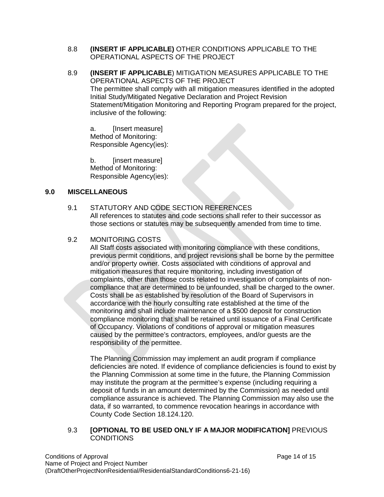- 8.8 **(INSERT IF APPLICABLE)** OTHER CONDITIONS APPLICABLE TO THE OPERATIONAL ASPECTS OF THE PROJECT
- 8.9 **(INSERT IF APPLICABLE**) MITIGATION MEASURES APPLICABLE TO THE OPERATIONAL ASPECTS OF THE PROJECT The permittee shall comply with all mitigation measures identified in the adopted Initial Study/Mitigated Negative Declaration and Project Revision Statement/Mitigation Monitoring and Reporting Program prepared for the project, inclusive of the following:

a. [Insert measure] Method of Monitoring: Responsible Agency(ies):

b. [insert measure] Method of Monitoring: Responsible Agency(ies):

# **9.0 MISCELLANEOUS**

# 9.1 STATUTORY AND CODE SECTION REFERENCES

All references to statutes and code sections shall refer to their successor as those sections or statutes may be subsequently amended from time to time.

#### 9.2 MONITORING COSTS

All Staff costs associated with monitoring compliance with these conditions, previous permit conditions, and project revisions shall be borne by the permittee and/or property owner. Costs associated with conditions of approval and mitigation measures that require monitoring, including investigation of complaints, other than those costs related to investigation of complaints of noncompliance that are determined to be unfounded, shall be charged to the owner. Costs shall be as established by resolution of the Board of Supervisors in accordance with the hourly consulting rate established at the time of the monitoring and shall include maintenance of a \$500 deposit for construction compliance monitoring that shall be retained until issuance of a Final Certificate of Occupancy. Violations of conditions of approval or mitigation measures caused by the permittee's contractors, employees, and/or guests are the responsibility of the permittee.

The Planning Commission may implement an audit program if compliance deficiencies are noted. If evidence of compliance deficiencies is found to exist by the Planning Commission at some time in the future, the Planning Commission may institute the program at the permittee's expense (including requiring a deposit of funds in an amount determined by the Commission) as needed until compliance assurance is achieved. The Planning Commission may also use the data, if so warranted, to commence revocation hearings in accordance with County Code Section 18.124.120.

#### 9.3 **[OPTIONAL TO BE USED ONLY IF A MAJOR MODIFICATION]** PREVIOUS **CONDITIONS**